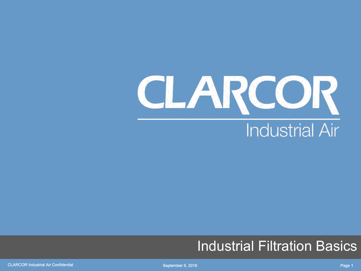

#### Industrial Filtration Basics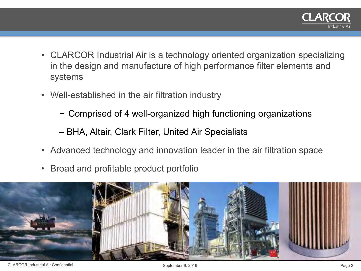

- CLARCOR Industrial Air is a technology oriented organization specializing in the design and manufacture of high performance filter elements and systems
- Well-established in the air filtration industry
	- − Comprised of 4 well-organized high functioning organizations
	- BHA, Altair, Clark Filter, United Air Specialists
- Advanced technology and innovation leader in the air filtration space
- Broad and profitable product portfolio

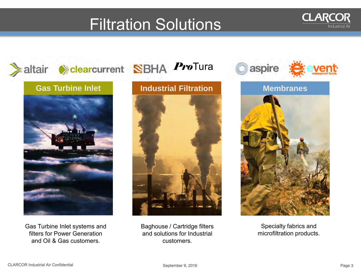#### Filtration Solutions



Gas Turbine Inlet systems and filters for Power Generation and Oil & Gas customers.



Baghouse / Cartridge filters and solutions for Industrial customers.



**CLARCOR** 

Specialty fabrics and microfiltration products.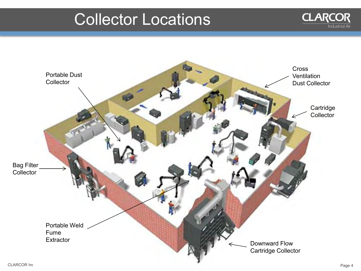#### Collector Locations



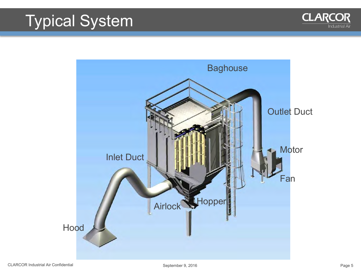#### Typical System



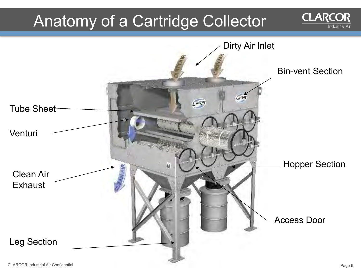#### Anatomy of a Cartridge Collector



**CLARCOR**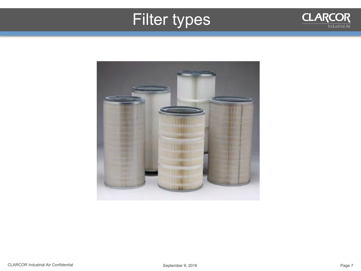### Filter types



**CLARCOR** 

 $\frac{1}{1}$ ndustrial Air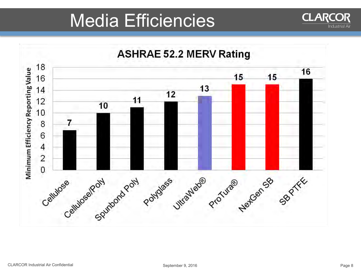## Media Efficiencies

**ASHRAE 52.2 MERV Rating** Minimum Efficiency Reporting Value  $\overline{\mathcal{A}}$  $\overline{a}$ Cellulose Sputtond Poly Polydess Ultrailed@ ProTuta@ Plent SB PTEE

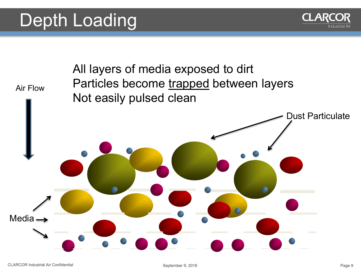## Depth Loading



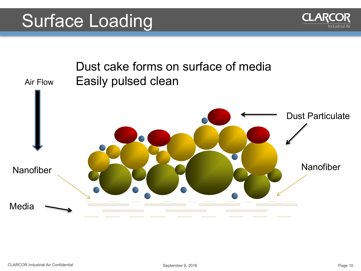## Surface Loading



**CLARCOR**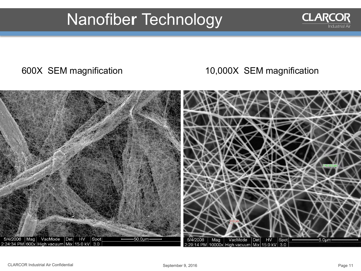#### Nanofibe**r** Technology

#### 600X SEM magnification 10,000X SEM magnification



**CLARCOR**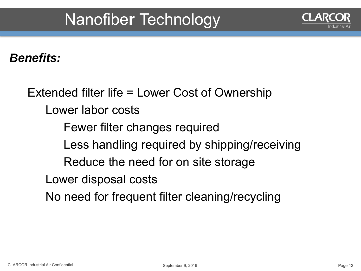#### Nanofibe**r** Technology

#### *Benefits:*

Extended filter life = Lower Cost of Ownership Lower labor costs Fewer filter changes required Less handling required by shipping/receiving Reduce the need for on site storage Lower disposal costs No need for frequent filter cleaning/recycling

ndustrial A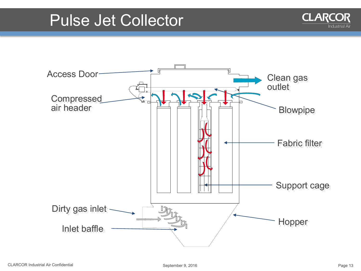#### Pulse Jet Collector



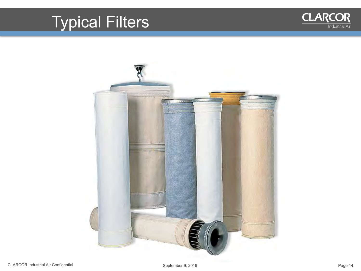## Typical Filters



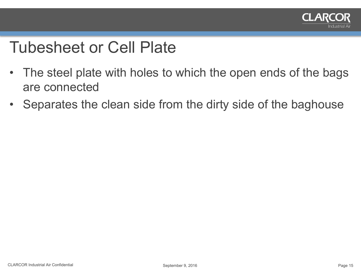

#### Tubesheet or Cell Plate

- The steel plate with holes to which the open ends of the bags are connected
- Separates the clean side from the dirty side of the baghouse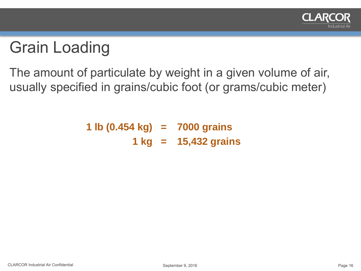

### Grain Loading

The amount of particulate by weight in a given volume of air, usually specified in grains/cubic foot (or grams/cubic meter)

> **1 lb (0.454 kg) = 7000 grains 1 kg = 15,432 grains**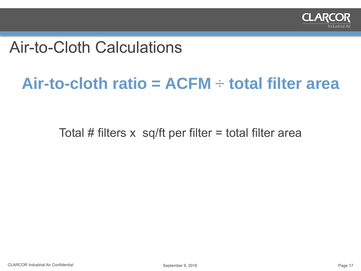

#### Air-to-Cloth Calculations

#### **Air-to-cloth ratio = ACFM ÷ total filter area**

Total  $#$  filters  $x$  sq/ft per filter = total filter area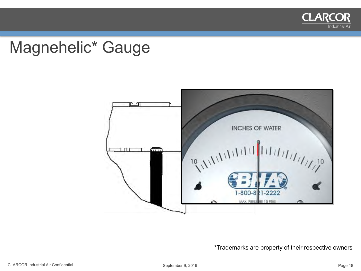

#### Magnehelic\* Gauge



#### \*Trademarks are property of their respective owners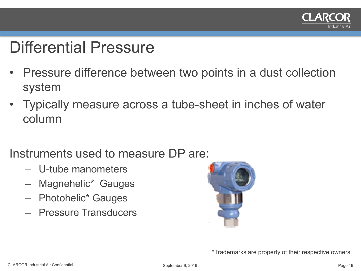

#### Differential Pressure

- Pressure difference between two points in a dust collection system
- Typically measure across a tube-sheet in inches of water column
- Instruments used to measure DP are:
	- U-tube manometers
	- Magnehelic\* Gauges
	- Photohelic\* Gauges
	- Pressure Transducers



\*Trademarks are property of their respective owners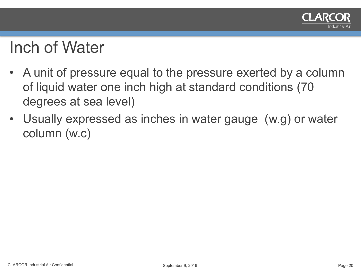

#### Inch of Water

- A unit of pressure equal to the pressure exerted by a column of liquid water one inch high at standard conditions (70 degrees at sea level)
- Usually expressed as inches in water gauge (w.g) or water column (w.c)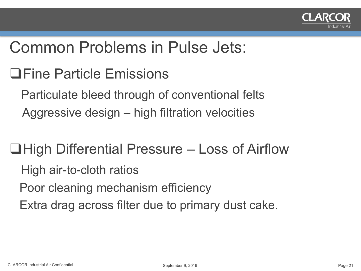

#### Common Problems in Pulse Jets:

Fine Particle Emissions

 Particulate bleed through of conventional felts Aggressive design – high filtration velocities

 $\Box$  High Differential Pressure – Loss of Airflow High air-to-cloth ratios Poor cleaning mechanism efficiency Extra drag across filter due to primary dust cake.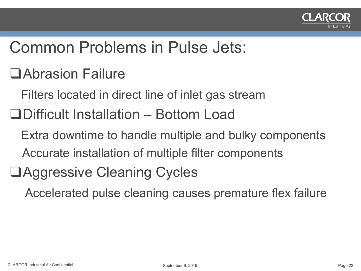

#### Common Problems in Pulse Jets:

- Abrasion Failure
	- Filters located in direct line of inlet gas stream
- Difficult Installation Bottom Load
	- Extra downtime to handle multiple and bulky components Accurate installation of multiple filter components
- Aggressive Cleaning Cycles

Accelerated pulse cleaning causes premature flex failure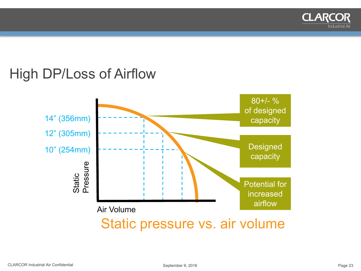

#### High DP/Loss of Airflow